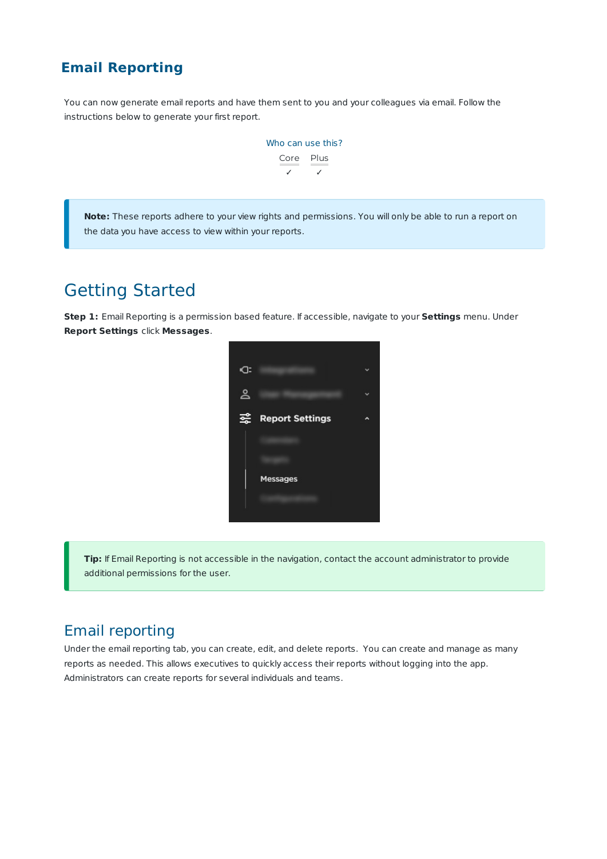### **Email Reporting**

You can now generate email reports and have them sent to you and your colleagues via email. Follow the instructions below to generate your first report.



**Note:** These reports adhere to your view rights and permissions. You will only be able to run a report on the data you have access to view within your reports.

# Getting Started

**Step 1:** Email Reporting is a permission based feature. If accessible, navigate to your **Settings** menu. Under **Report Settings** click **Messages**.



**Tip:** If Email Reporting is not accessible in the navigation, contact the account administrator to provide additional permissions for the user.

### Email reporting

Under the email reporting tab, you can create, edit, and delete reports. You can create and manage as many reports as needed. This allows executives to quickly access their reports without logging into the app. Administrators can create reports for several individuals and teams.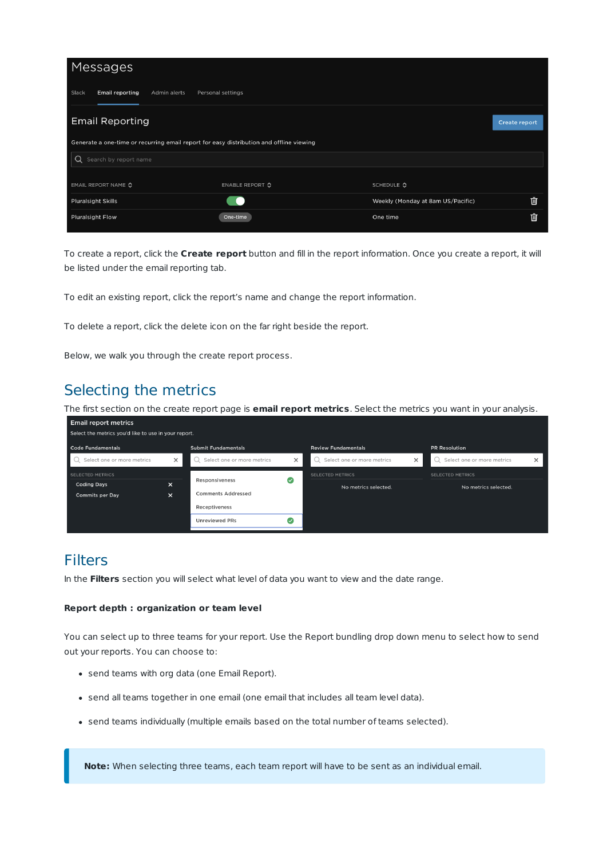| Messages                                        |                                                                                         |                                   |                      |  |  |
|-------------------------------------------------|-----------------------------------------------------------------------------------------|-----------------------------------|----------------------|--|--|
| <b>Email reporting</b><br>Slack<br>Admin alerts | Personal settings                                                                       |                                   |                      |  |  |
| <b>Email Reporting</b>                          |                                                                                         |                                   | <b>Create report</b> |  |  |
|                                                 | Generate a one-time or recurring email report for easy distribution and offline viewing |                                   |                      |  |  |
| Search by report name<br>Q                      |                                                                                         |                                   |                      |  |  |
|                                                 |                                                                                         |                                   |                      |  |  |
| EMAIL REPORT NAME C                             | ENABLE REPORT ♦                                                                         | SCHEDULE $\Diamond$               |                      |  |  |
| <b>Pluralsight Skills</b>                       |                                                                                         | Weekly (Monday at 8am US/Pacific) |                      |  |  |
| <b>Pluralsight Flow</b>                         | One-time                                                                                | One time                          |                      |  |  |

To create a report, click the **Create report** button and fill in the report information. Once you create a report, it will be listed under the email reporting tab.

To edit an existing report, click the report's name and change the report information.

To delete a report, click the delete icon on the far right beside the report.

Below, we walk you through the create report process.

### Selecting the metrics

The first section on the create report page is **email report metrics**. Select the metrics you want in your analysis.

| <b>Email report metrics</b>                          |          |                            |          |                            |          |                            |          |
|------------------------------------------------------|----------|----------------------------|----------|----------------------------|----------|----------------------------|----------|
| Select the metrics you'd like to use in your report. |          |                            |          |                            |          |                            |          |
| <b>Code Fundamentals</b>                             |          | <b>Submit Fundamentals</b> |          | <b>Review Fundamentals</b> |          | <b>PR Resolution</b>       |          |
| Select one or more metrics                           | $\times$ | Select one or more metrics | $\times$ | Select one or more metrics | $\times$ | Select one or more metrics | $\times$ |
| SELECTED METRICS                                     |          |                            |          | <b>SELECTED METRICS</b>    |          | <b>SELECTED METRICS</b>    |          |
| <b>Coding Days</b>                                   | $\times$ | Responsiveness             | l v      | No metrics selected.       |          | No metrics selected.       |          |
| <b>Commits per Day</b>                               | ×        | <b>Comments Addressed</b>  |          |                            |          |                            |          |
|                                                      |          | Receptiveness              |          |                            |          |                            |          |
|                                                      |          | <b>Unreviewed PRs</b>      | l v      |                            |          |                            |          |

### Filters

In the **Filters** section you will select what level of data you want to view and the date range.

#### **Report depth : organization or team level**

You can select up to three teams for your report. Use the Report bundling drop down menu to select how to send out your reports. You can choose to:

- send teams with org data (one Email Report).
- send all teams together in one email (one email that includes all team level data).
- send teams individually (multiple emails based on the total number of teams selected).

**Note:** When selecting three teams, each team report will have to be sent as an individual email.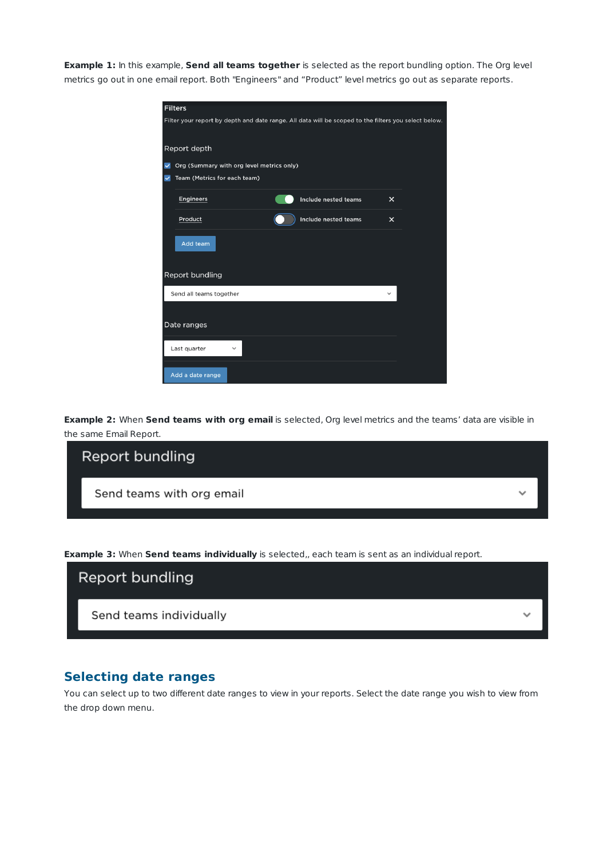**Example 1:** In this example, **Send all teams together** is selected as the report bundling option. The Org level metrics go out in one email report. Both "Engineers" and "Product" level metrics go out as separate reports.

|              | <b>Filters</b>                                                                                       |  |                      |              |  |
|--------------|------------------------------------------------------------------------------------------------------|--|----------------------|--------------|--|
|              | Filter your report by depth and date range. All data will be scoped to the filters you select below. |  |                      |              |  |
|              | Report depth                                                                                         |  |                      |              |  |
| $\checkmark$ | Org (Summary with org level metrics only)                                                            |  |                      |              |  |
| $\checkmark$ | Team (Metrics for each team)                                                                         |  |                      |              |  |
|              | <b>Engineers</b>                                                                                     |  | Include nested teams | $\times$     |  |
|              | Product                                                                                              |  | Include nested teams | $\times$     |  |
|              | Add team                                                                                             |  |                      |              |  |
|              | Report bundling                                                                                      |  |                      |              |  |
|              | Send all teams together                                                                              |  |                      | $\checkmark$ |  |
|              | Date ranges                                                                                          |  |                      |              |  |
|              | Last quarter                                                                                         |  |                      |              |  |
|              | Add a date range                                                                                     |  |                      |              |  |

**Example 2:** When **Send teams with org email** is selected, Org level metrics and the teams' data are visible in the same Email Report.

| Report bundling           |  |
|---------------------------|--|
| Send teams with org email |  |
|                           |  |

**Example 3:** When **Send teams individually** is selected,, each team is sent as an individual report.



### **Selecting date ranges**

You can select up to two different date ranges to view in your reports. Select the date range you wish to view from the drop down menu.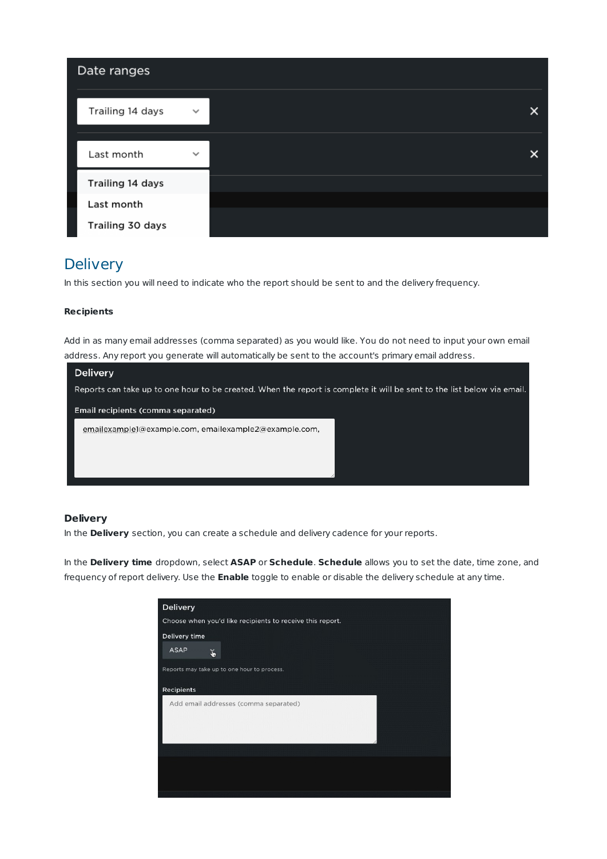| Date ranges      |              |   |
|------------------|--------------|---|
| Trailing 14 days | $\checkmark$ | x |
| Last month       | $\checkmark$ | x |
| Trailing 14 days |              |   |
| Last month       |              |   |
| Trailing 30 days |              |   |

## **Delivery**

In this section you will need to indicate who the report should be sent to and the delivery frequency.

### **Recipients**

Add in as many email addresses (comma separated) as you would like. You do not need to input your own email address. Any report you generate will automatically be sent to the account's primary email address.

| <b>Delivery</b>                                                                                                         |  |  |  |
|-------------------------------------------------------------------------------------------------------------------------|--|--|--|
| Reports can take up to one hour to be created. When the report is complete it will be sent to the list below via email. |  |  |  |
| Email recipients (comma separated)                                                                                      |  |  |  |
| emailexample1@example.com, emailexample2@example.com,                                                                   |  |  |  |
|                                                                                                                         |  |  |  |
|                                                                                                                         |  |  |  |
|                                                                                                                         |  |  |  |

### **Delivery**

In the **Delivery** section, you can create a schedule and delivery cadence for your reports.

In the **Delivery time** dropdown, select **ASAP** or **Schedule**. **Schedule** allows you to set the date, time zone, and frequency of report delivery. Use the **Enable** toggle to enable or disable the delivery schedule at any time.

| <b>Delivery</b>                                           |
|-----------------------------------------------------------|
| Choose when you'd like recipients to receive this report. |
| Delivery time                                             |
| <b>ASAP</b><br>ě                                          |
| Reports may take up to one hour to process.               |
| <b>Recipients</b>                                         |
| Add email addresses (comma separated)                     |
|                                                           |
|                                                           |
|                                                           |
|                                                           |
|                                                           |
|                                                           |